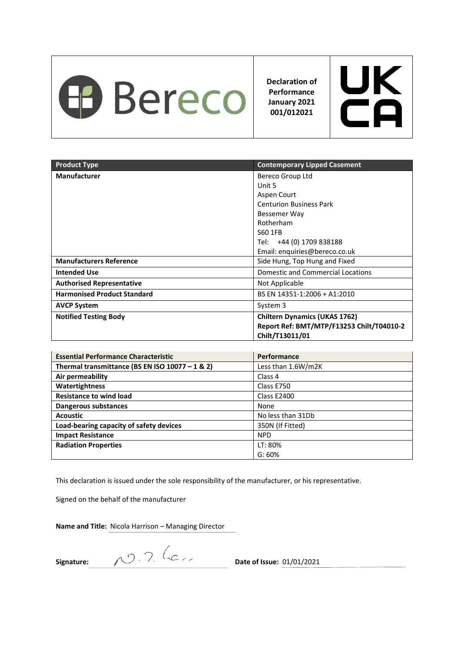

**Declaration of Performance January 2021 001/012021**



| <b>Product Type</b>                | <b>Contemporary Lipped Casement</b>       |
|------------------------------------|-------------------------------------------|
| <b>Manufacturer</b>                | Bereco Group Ltd                          |
|                                    | Unit 5                                    |
|                                    | Aspen Court                               |
|                                    | <b>Centurion Business Park</b>            |
|                                    | Bessemer Way                              |
|                                    | Rotherham                                 |
|                                    | S60 1FB                                   |
|                                    | Tel: +44 (0) 1709 838188                  |
|                                    | Email: enquiries@bereco.co.uk             |
| <b>Manufacturers Reference</b>     | Side Hung, Top Hung and Fixed             |
| <b>Intended Use</b>                | <b>Domestic and Commercial Locations</b>  |
| <b>Authorised Representative</b>   | Not Applicable                            |
| <b>Harmonised Product Standard</b> | BS EN 14351-1:2006 + A1:2010              |
| <b>AVCP System</b>                 | System 3                                  |
| <b>Notified Testing Body</b>       | <b>Chiltern Dynamics (UKAS 1762)</b>      |
|                                    | Report Ref: BMT/MTP/F13253 Chilt/T04010-2 |
|                                    | Chilt/T13011/01                           |

| <b>Essential Performance Characteristic</b>       | Performance        |
|---------------------------------------------------|--------------------|
| Thermal transmittance (BS EN ISO $10077 - 1$ & 2) | Less than 1.6W/m2K |
| Air permeability                                  | Class 4            |
| Watertightness                                    | Class E750         |
| <b>Resistance to wind load</b>                    | Class E2400        |
| Dangerous substances                              | None               |
| <b>Acoustic</b>                                   | No less than 31Db  |
| Load-bearing capacity of safety devices           | 350N (If Fitted)   |
| <b>Impact Resistance</b>                          | <b>NPD</b>         |
| <b>Radiation Properties</b>                       | LT: 80%            |
|                                                   | G: 60%             |

This declaration is issued under the sole responsibility of the manufacturer, or his representative.

Signed on the behalf of the manufacturer

**Signature:**  $\sqrt{2 \cdot 7}$  (C  $\angle$  Date of Issue: 01/01/2021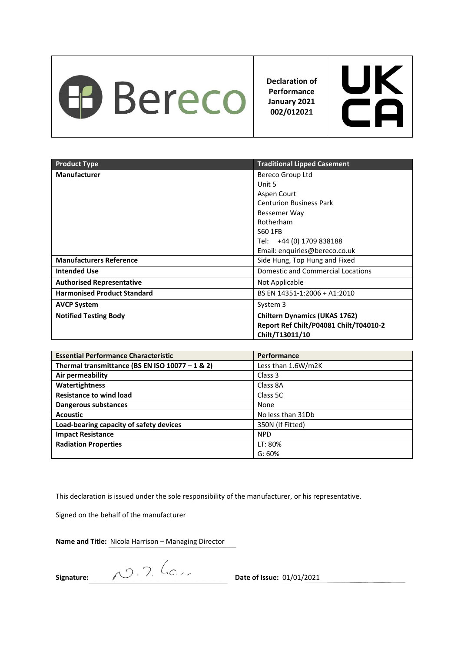

**Declaration of Performance January 2021 002/012021**



| <b>Product Type</b>                | <b>Traditional Lipped Casement</b>       |
|------------------------------------|------------------------------------------|
| <b>Manufacturer</b>                | Bereco Group Ltd                         |
|                                    | Unit 5                                   |
|                                    | Aspen Court                              |
|                                    | <b>Centurion Business Park</b>           |
|                                    | Bessemer Way                             |
|                                    | Rotherham                                |
|                                    | S60 1FB                                  |
|                                    | Tel: +44 (0) 1709 838188                 |
|                                    | Email: enquiries@bereco.co.uk            |
| <b>Manufacturers Reference</b>     | Side Hung, Top Hung and Fixed            |
| <b>Intended Use</b>                | <b>Domestic and Commercial Locations</b> |
| <b>Authorised Representative</b>   | Not Applicable                           |
| <b>Harmonised Product Standard</b> | BS EN 14351-1:2006 + A1:2010             |
| <b>AVCP System</b>                 | System 3                                 |
| <b>Notified Testing Body</b>       | <b>Chiltern Dynamics (UKAS 1762)</b>     |
|                                    | Report Ref Chilt/P04081 Chilt/T04010-2   |
|                                    | Chilt/T13011/10                          |

| <b>Essential Performance Characteristic</b>       | <b>Performance</b> |
|---------------------------------------------------|--------------------|
| Thermal transmittance (BS EN ISO $10077 - 1$ & 2) | Less than 1.6W/m2K |
| Air permeability                                  | Class 3            |
| Watertightness                                    | Class 8A           |
| <b>Resistance to wind load</b>                    | Class 5C           |
| Dangerous substances                              | None               |
| <b>Acoustic</b>                                   | No less than 31Db  |
| Load-bearing capacity of safety devices           | 350N (If Fitted)   |
| <b>Impact Resistance</b>                          | <b>NPD</b>         |
| <b>Radiation Properties</b>                       | LT: 80%            |
|                                                   | G: 60%             |

This declaration is issued under the sole responsibility of the manufacturer, or his representative.

Signed on the behalf of the manufacturer

**Signature:** 2009. The Contract Contract Date of Issue: 01/01/2021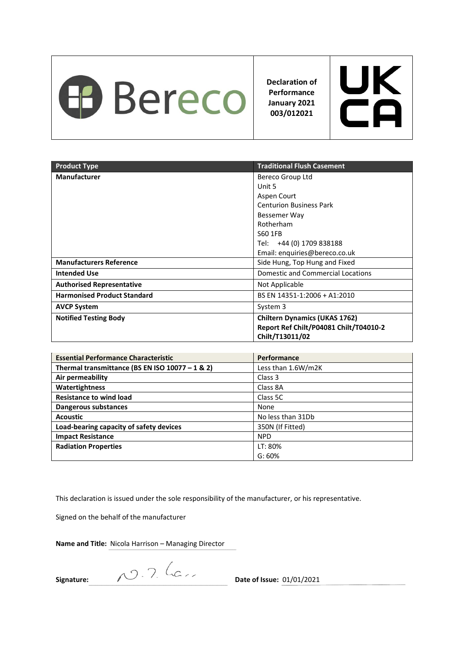

**Declaration of Performance January 2021 003/012021**



| <b>Product Type</b>                | <b>Traditional Flush Casement</b>        |
|------------------------------------|------------------------------------------|
| <b>Manufacturer</b>                | Bereco Group Ltd                         |
|                                    | Unit 5                                   |
|                                    | Aspen Court                              |
|                                    | <b>Centurion Business Park</b>           |
|                                    | Bessemer Way                             |
|                                    | Rotherham                                |
|                                    | S60 1FB                                  |
|                                    | Tel: +44 (0) 1709 838188                 |
|                                    | Email: enquiries@bereco.co.uk            |
| <b>Manufacturers Reference</b>     | Side Hung, Top Hung and Fixed            |
| <b>Intended Use</b>                | <b>Domestic and Commercial Locations</b> |
| <b>Authorised Representative</b>   | Not Applicable                           |
| <b>Harmonised Product Standard</b> | BS EN 14351-1:2006 + A1:2010             |
| <b>AVCP System</b>                 | System 3                                 |
| <b>Notified Testing Body</b>       | <b>Chiltern Dynamics (UKAS 1762)</b>     |
|                                    | Report Ref Chilt/P04081 Chilt/T04010-2   |
|                                    | Chilt/T13011/02                          |

| <b>Essential Performance Characteristic</b>       | <b>Performance</b> |
|---------------------------------------------------|--------------------|
| Thermal transmittance (BS EN ISO $10077 - 1$ & 2) | Less than 1.6W/m2K |
| Air permeability                                  | Class 3            |
| Watertightness                                    | Class 8A           |
| <b>Resistance to wind load</b>                    | Class 5C           |
| Dangerous substances                              | None               |
| <b>Acoustic</b>                                   | No less than 31Db  |
| Load-bearing capacity of safety devices           | 350N (If Fitted)   |
| <b>Impact Resistance</b>                          | <b>NPD</b>         |
| <b>Radiation Properties</b>                       | LT: 80%            |
|                                                   | G: 60%             |

This declaration is issued under the sole responsibility of the manufacturer, or his representative.

Signed on the behalf of the manufacturer

**Name and Title:** Nicola Harrison – Managing Director

**Signature:** 2009. The Contract Contract Contract Contract Contract Contract Contract Contract Contract Contract Contract Contract Contract Contract Contract Contract Contract Contract Contract Contract Contract Contract C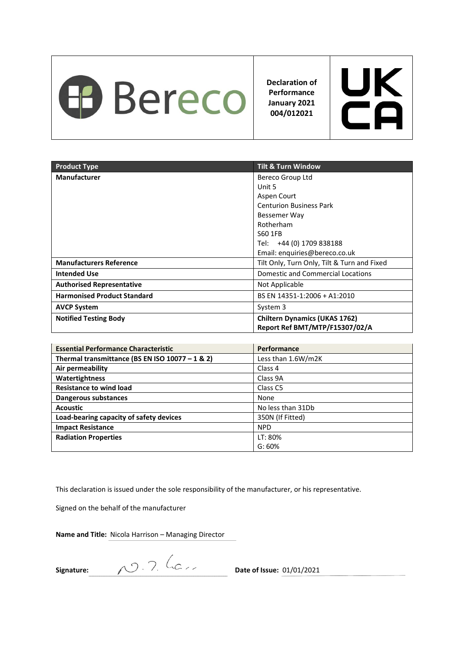

**Declaration of Performance January 2021 004/012021**



| <b>Product Type</b>                | <b>Tilt &amp; Turn Window</b>               |
|------------------------------------|---------------------------------------------|
| <b>Manufacturer</b>                | Bereco Group Ltd                            |
|                                    | Unit 5                                      |
|                                    | Aspen Court                                 |
|                                    | <b>Centurion Business Park</b>              |
|                                    | Bessemer Way                                |
|                                    | Rotherham                                   |
|                                    | S60 1FB                                     |
|                                    | +44 (0) 1709 838188<br>Tel:                 |
|                                    | Email: enquiries@bereco.co.uk               |
| <b>Manufacturers Reference</b>     | Tilt Only, Turn Only, Tilt & Turn and Fixed |
| <b>Intended Use</b>                | Domestic and Commercial Locations           |
| <b>Authorised Representative</b>   | Not Applicable                              |
| <b>Harmonised Product Standard</b> | BS EN 14351-1:2006 + A1:2010                |
| <b>AVCP System</b>                 | System 3                                    |
| <b>Notified Testing Body</b>       | <b>Chiltern Dynamics (UKAS 1762)</b>        |
|                                    | Report Ref BMT/MTP/F15307/02/A              |

| <b>Essential Performance Characteristic</b>       | Performance         |
|---------------------------------------------------|---------------------|
| Thermal transmittance (BS EN ISO $10077 - 1$ & 2) | Less than 1.6W/m2K  |
| Air permeability                                  | Class 4             |
| Watertightness                                    | Class 9A            |
| <b>Resistance to wind load</b>                    | Class <sub>C5</sub> |
| Dangerous substances                              | None                |
| <b>Acoustic</b>                                   | No less than 31Db   |
| Load-bearing capacity of safety devices           | 350N (If Fitted)    |
| <b>Impact Resistance</b>                          | <b>NPD</b>          |
| <b>Radiation Properties</b>                       | LT: 80%             |
|                                                   | G: 60%              |

This declaration is issued under the sole responsibility of the manufacturer, or his representative.

Signed on the behalf of the manufacturer

**Signature:** 2009. T. Communication **Date of Issue:** 01/01/2021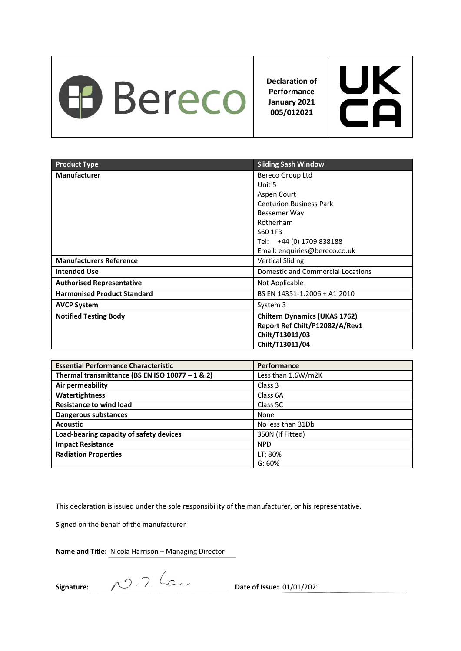

**Declaration of Performance January 2021 005/012021**



| <b>Product Type</b>                | <b>Sliding Sash Window</b>           |
|------------------------------------|--------------------------------------|
| <b>Manufacturer</b>                | Bereco Group Ltd                     |
|                                    | Unit 5                               |
|                                    | Aspen Court                          |
|                                    | <b>Centurion Business Park</b>       |
|                                    | Bessemer Way                         |
|                                    | Rotherham                            |
|                                    | S60 1FB                              |
|                                    | Tel: +44 (0) 1709 838188             |
|                                    | Email: enquiries@bereco.co.uk        |
| <b>Manufacturers Reference</b>     | <b>Vertical Sliding</b>              |
| <b>Intended Use</b>                | Domestic and Commercial Locations    |
| <b>Authorised Representative</b>   | Not Applicable                       |
| <b>Harmonised Product Standard</b> | BS EN 14351-1:2006 + A1:2010         |
| <b>AVCP System</b>                 | System 3                             |
| <b>Notified Testing Body</b>       | <b>Chiltern Dynamics (UKAS 1762)</b> |
|                                    | Report Ref Chilt/P12082/A/Rev1       |
|                                    | Chilt/T13011/03                      |
|                                    | Chilt/T13011/04                      |

| <b>Essential Performance Characteristic</b>       | Performance        |
|---------------------------------------------------|--------------------|
| Thermal transmittance (BS EN ISO $10077 - 1$ & 2) | Less than 1.6W/m2K |
| Air permeability                                  | Class 3            |
| Watertightness                                    | Class 6A           |
| <b>Resistance to wind load</b>                    | Class 5C           |
| <b>Dangerous substances</b>                       | None               |
| <b>Acoustic</b>                                   | No less than 31Db  |
| Load-bearing capacity of safety devices           | 350N (If Fitted)   |
| <b>Impact Resistance</b>                          | <b>NPD</b>         |
| <b>Radiation Properties</b>                       | LT: 80%            |
|                                                   | G: 60%             |

This declaration is issued under the sole responsibility of the manufacturer, or his representative.

Signed on the behalf of the manufacturer

**Name and Title:** Nicola Harrison – Managing Director

**Signature:** 2009. And the Contract of Issue: 01/01/2021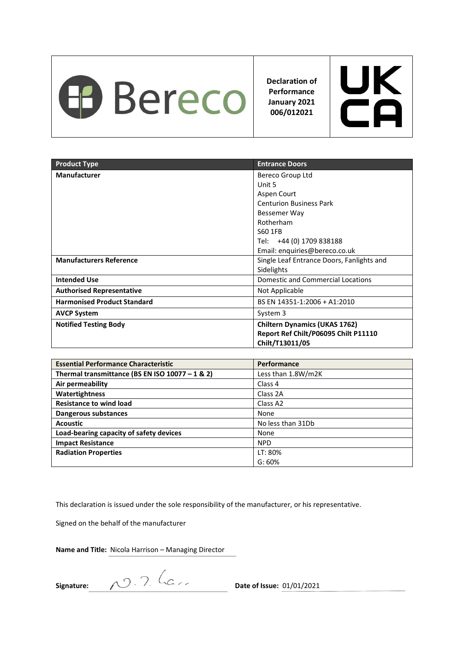

**Declaration of Performance January 2021 006/012021**



| <b>Product Type</b>                | <b>Entrance Doors</b>                                                                           |
|------------------------------------|-------------------------------------------------------------------------------------------------|
| <b>Manufacturer</b>                | Bereco Group Ltd                                                                                |
|                                    | Unit 5                                                                                          |
|                                    | Aspen Court                                                                                     |
|                                    | <b>Centurion Business Park</b>                                                                  |
|                                    | Bessemer Way                                                                                    |
|                                    | Rotherham                                                                                       |
|                                    | S60 1FB                                                                                         |
|                                    | Tel: +44 (0) 1709 838188                                                                        |
|                                    | Email: enquiries@bereco.co.uk                                                                   |
| <b>Manufacturers Reference</b>     | Single Leaf Entrance Doors, Fanlights and                                                       |
|                                    | Sidelights                                                                                      |
| <b>Intended Use</b>                | Domestic and Commercial Locations                                                               |
| <b>Authorised Representative</b>   | Not Applicable                                                                                  |
| <b>Harmonised Product Standard</b> | BS EN 14351-1:2006 + A1:2010                                                                    |
| <b>AVCP System</b>                 | System 3                                                                                        |
| <b>Notified Testing Body</b>       | <b>Chiltern Dynamics (UKAS 1762)</b><br>Report Ref Chilt/P06095 Chilt P11110<br>Chilt/T13011/05 |

| <b>Essential Performance Characteristic</b>       | <b>Performance</b>   |
|---------------------------------------------------|----------------------|
| Thermal transmittance (BS EN ISO $10077 - 1$ & 2) | Less than 1.8W/m2K   |
| Air permeability                                  | Class 4              |
| Watertightness                                    | Class 2A             |
| <b>Resistance to wind load</b>                    | Class A <sub>2</sub> |
| Dangerous substances                              | None                 |
| <b>Acoustic</b>                                   | No less than 31Db    |
| Load-bearing capacity of safety devices           | None                 |
| <b>Impact Resistance</b>                          | <b>NPD</b>           |
| <b>Radiation Properties</b>                       | LT: 80%              |
|                                                   | G: 60%               |

This declaration is issued under the sole responsibility of the manufacturer, or his representative.

Signed on the behalf of the manufacturer

**Name and Title:** Nicola Harrison – Managing Director

**Signature:** 2009. The Contraction of Issue: 01/01/2021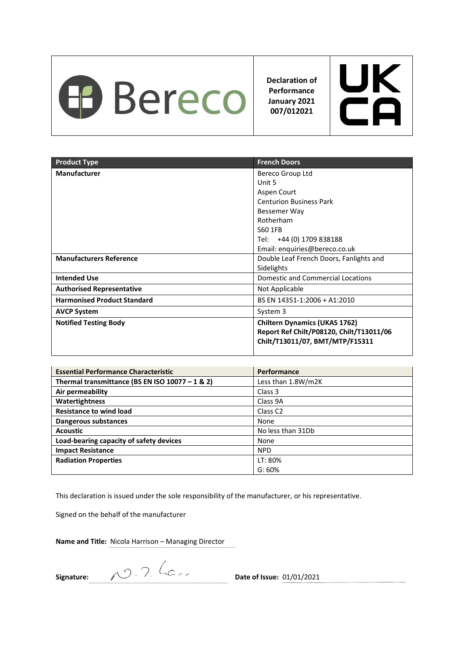

**Declaration of Performance January 2021 007/012021**



| <b>Product Type</b>                | <b>French Doors</b>                      |
|------------------------------------|------------------------------------------|
| <b>Manufacturer</b>                | Bereco Group Ltd                         |
|                                    | Unit 5                                   |
|                                    | Aspen Court                              |
|                                    | <b>Centurion Business Park</b>           |
|                                    | Bessemer Way                             |
|                                    | Rotherham                                |
|                                    | S60 1FB                                  |
|                                    | Tel: +44 (0) 1709 838188                 |
|                                    | Email: enquiries@bereco.co.uk            |
| <b>Manufacturers Reference</b>     | Double Leaf French Doors, Fanlights and  |
|                                    | Sidelights                               |
| <b>Intended Use</b>                | <b>Domestic and Commercial Locations</b> |
| <b>Authorised Representative</b>   | Not Applicable                           |
| <b>Harmonised Product Standard</b> | BS EN 14351-1:2006 + A1:2010             |
| <b>AVCP System</b>                 | System 3                                 |
| <b>Notified Testing Body</b>       | <b>Chiltern Dynamics (UKAS 1762)</b>     |
|                                    | Report Ref Chilt/P08120, Chilt/T13011/06 |
|                                    | Chilt/T13011/07, BMT/MTP/F15311          |
|                                    |                                          |

| <b>Essential Performance Characteristic</b>     | Performance         |
|-------------------------------------------------|---------------------|
| Thermal transmittance (BS EN ISO 10077 - 1 & 2) | Less than 1.8W/m2K  |
| Air permeability                                | Class 3             |
| Watertightness                                  | Class 9A            |
| <b>Resistance to wind load</b>                  | Class <sub>C2</sub> |
| Dangerous substances                            | None                |
| <b>Acoustic</b>                                 | No less than 31Db   |
| Load-bearing capacity of safety devices         | None                |
| <b>Impact Resistance</b>                        | <b>NPD</b>          |
| <b>Radiation Properties</b>                     | LT: 80%             |
|                                                 | G: 60%              |

This declaration is issued under the sole responsibility of the manufacturer, or his representative.

Signed on the behalf of the manufacturer

**Signature:** 2009. The Community Contract Date of Issue: 01/01/2021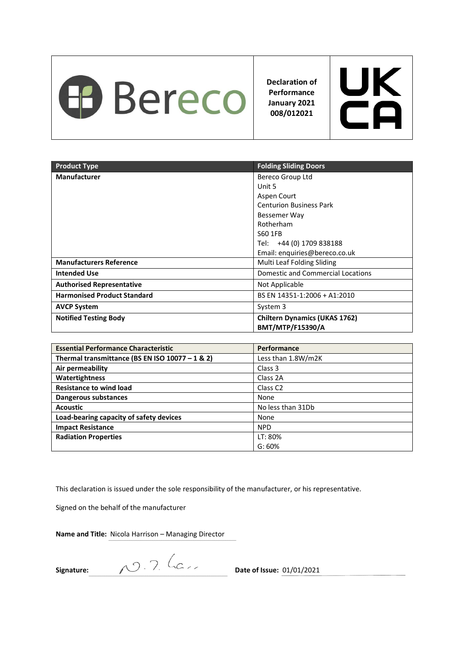

**Declaration of Performance January 2021 008/012021**



| <b>Product Type</b>                | <b>Folding Sliding Doors</b>             |
|------------------------------------|------------------------------------------|
| <b>Manufacturer</b>                | Bereco Group Ltd                         |
|                                    | Unit 5                                   |
|                                    | Aspen Court                              |
|                                    | <b>Centurion Business Park</b>           |
|                                    | Bessemer Way                             |
|                                    | Rotherham                                |
|                                    | S60 1FB                                  |
|                                    | Tel: +44 (0) 1709 838188                 |
|                                    | Email: enquiries@bereco.co.uk            |
| <b>Manufacturers Reference</b>     | Multi Leaf Folding Sliding               |
| <b>Intended Use</b>                | <b>Domestic and Commercial Locations</b> |
| <b>Authorised Representative</b>   | Not Applicable                           |
| <b>Harmonised Product Standard</b> | BS EN 14351-1:2006 + A1:2010             |
| <b>AVCP System</b>                 | System 3                                 |
| <b>Notified Testing Body</b>       | <b>Chiltern Dynamics (UKAS 1762)</b>     |
|                                    | <b>BMT/MTP/F15390/A</b>                  |

| <b>Essential Performance Characteristic</b>     | Performance         |
|-------------------------------------------------|---------------------|
| Thermal transmittance (BS EN ISO 10077 - 1 & 2) | Less than 1.8W/m2K  |
| Air permeability                                | Class 3             |
| Watertightness                                  | Class 2A            |
| <b>Resistance to wind load</b>                  | Class <sub>C2</sub> |
| Dangerous substances                            | None                |
| <b>Acoustic</b>                                 | No less than 31Db   |
| Load-bearing capacity of safety devices         | None                |
| <b>Impact Resistance</b>                        | <b>NPD</b>          |
| <b>Radiation Properties</b>                     | LT: 80%             |
|                                                 | G:60%               |

This declaration is issued under the sole responsibility of the manufacturer, or his representative.

Signed on the behalf of the manufacturer

**Name and Title:** Nicola Harrison – Managing Director

**Signature:** 200. 7. Computer 2001/01/2021